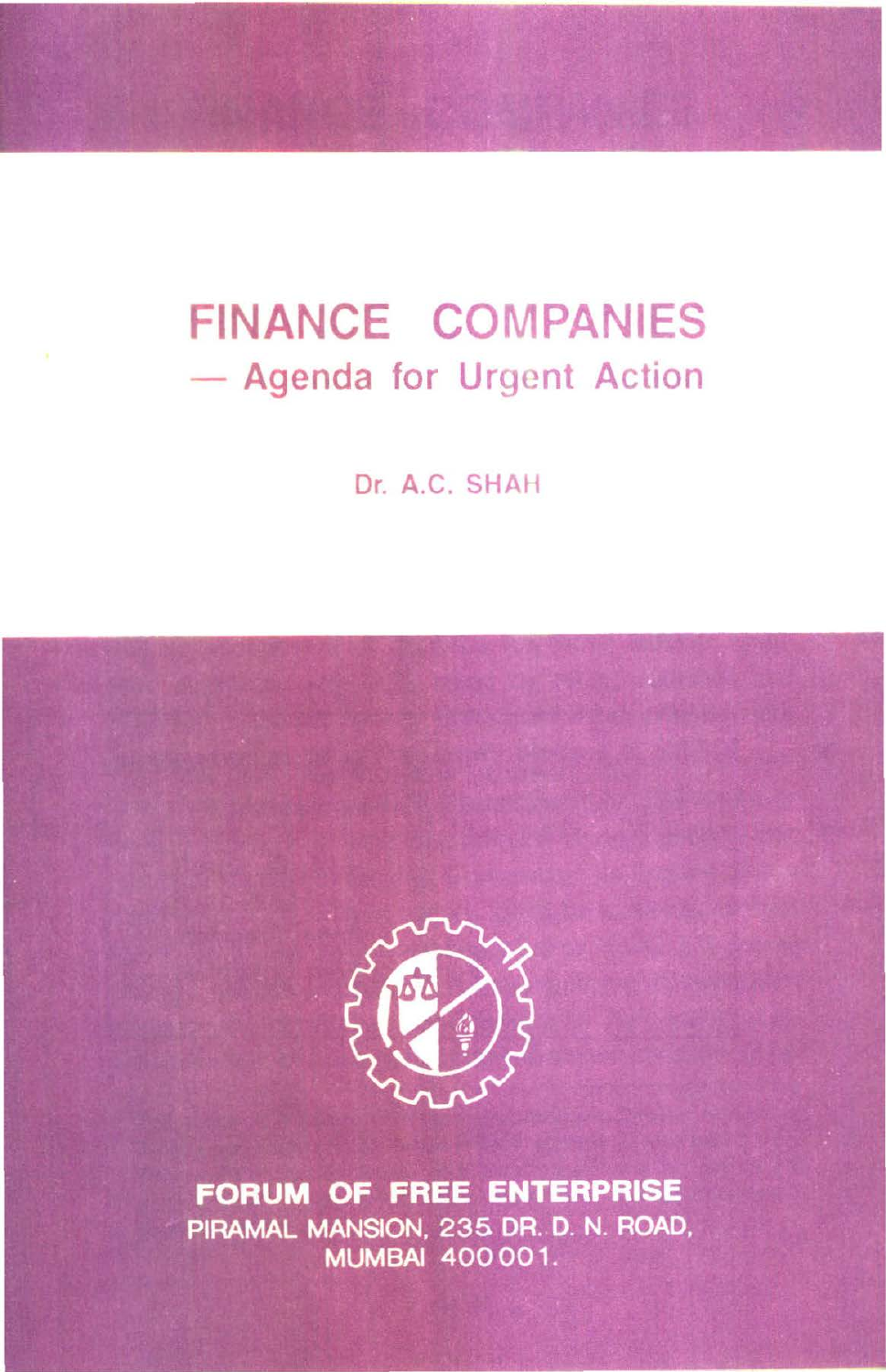# **FINANCE COMPANIES**  - Agenda for Urgent Action

Dr. A.C. SHAH



FORUM OF FREE ENTERPRISE PIRAMAL MANSION, 235 DR. D. N. ROAD, **MUMBAI 400001.**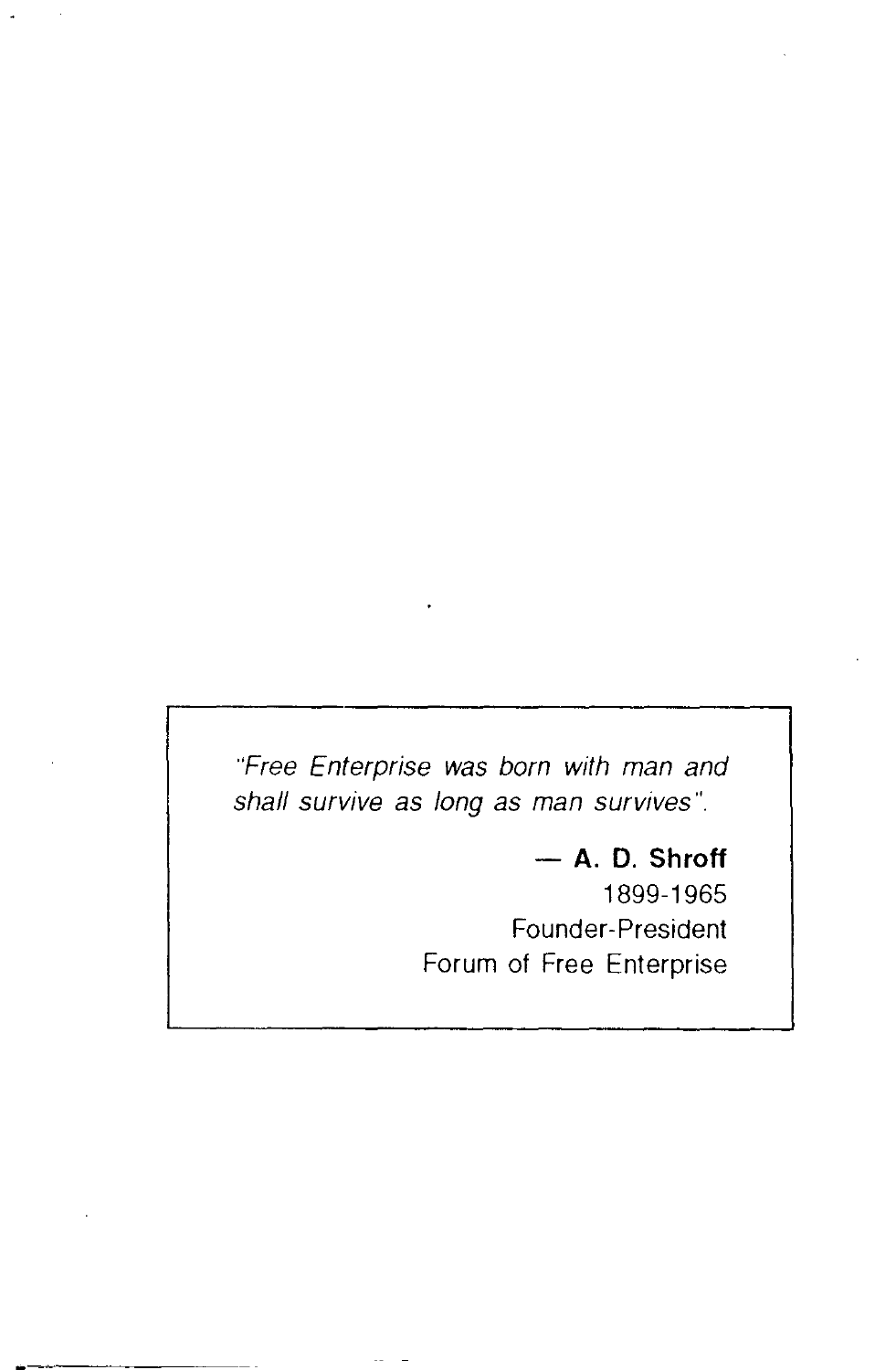"Free Enterprise was born with man and shall survive as long as man survives".

> - **A. D. Shroff**  1899-1965 Founder-President Forum of Free Enterprise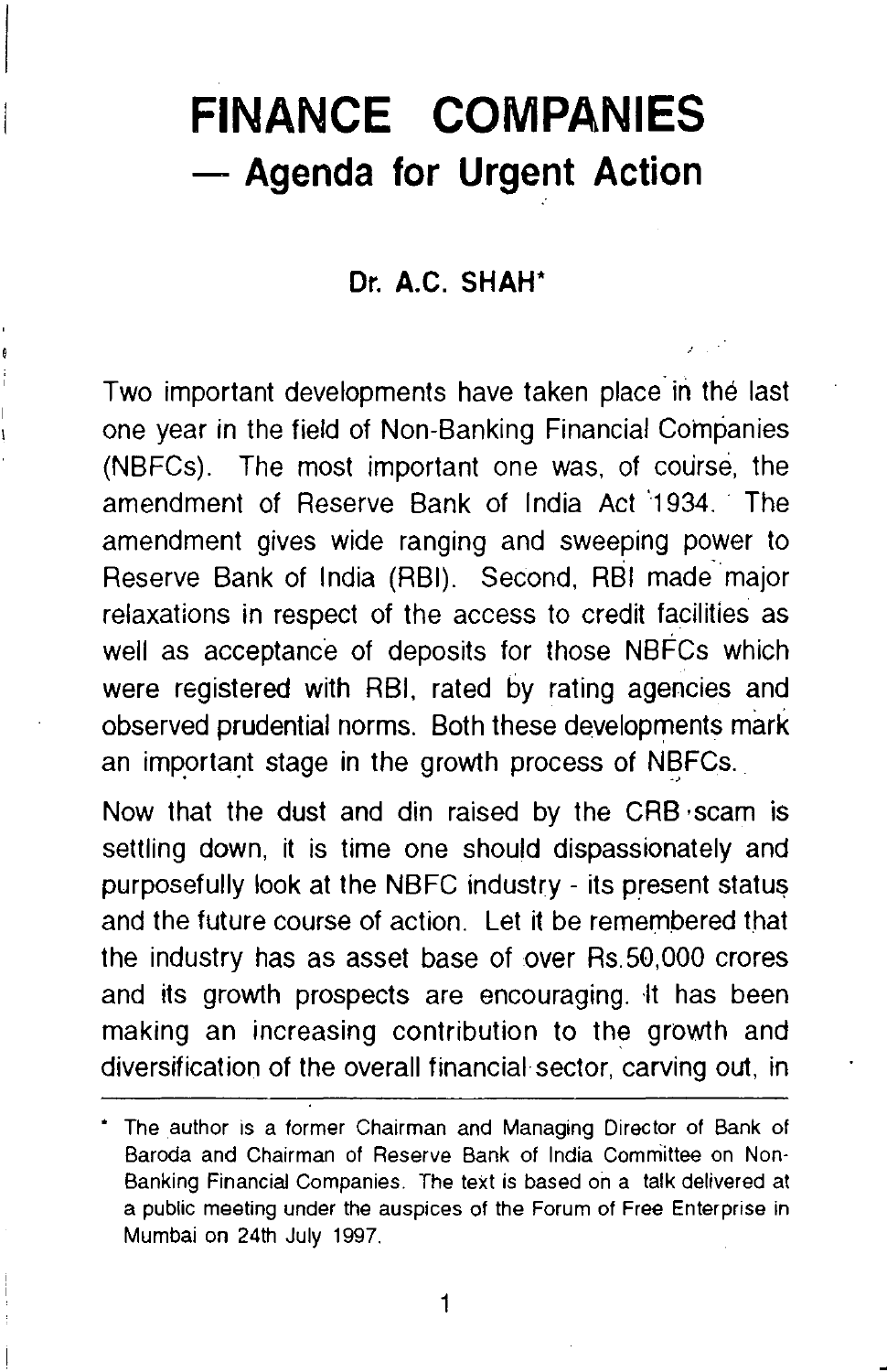# **FINANCE COMPANIES**  - **Agenda for Urgent Action**

#### **Dr. A.C. SHAH\***

Two important developments have taken place in the last one year in the field of Non-Banking Financial Companies (NBFCs). The most important one was, of course, the amendment of Reserve Bank of India Act 1934. The amendment gives wide ranging and sweeping power to Reserve Bank of India (RBI). Second, RBI made- major relaxations in respect of the access to credit facilities as well as acceptance of deposits for those NBFCs which were registered with RBI, rated by rating agencies and observed prudential norms. Both these developments mark an important stage in the growth process of NBFCs.

Now that the dust and din raised by the CRB ·scam is settling down, it is time one should dispassionately and purposefully look at the NBFC industry - its present status and the future course of action. Let it be remembered that the industry has as asset base of over Rs.50,000 crores and its growth prospects are encouraging. It has been making an increasing contribution to the growth and diversification of the overall financial sector, carving out, in

<sup>•</sup> The author is a former Chairman and Managing Director of Bank of Baroda and Chairman of Reserve Bank of India Committee on Non-Banking Financial Companies. The text is based on a talk delivered at a public meeting under the auspices of the Forum of Free Enterprise in Mumbai on 24th July 1997.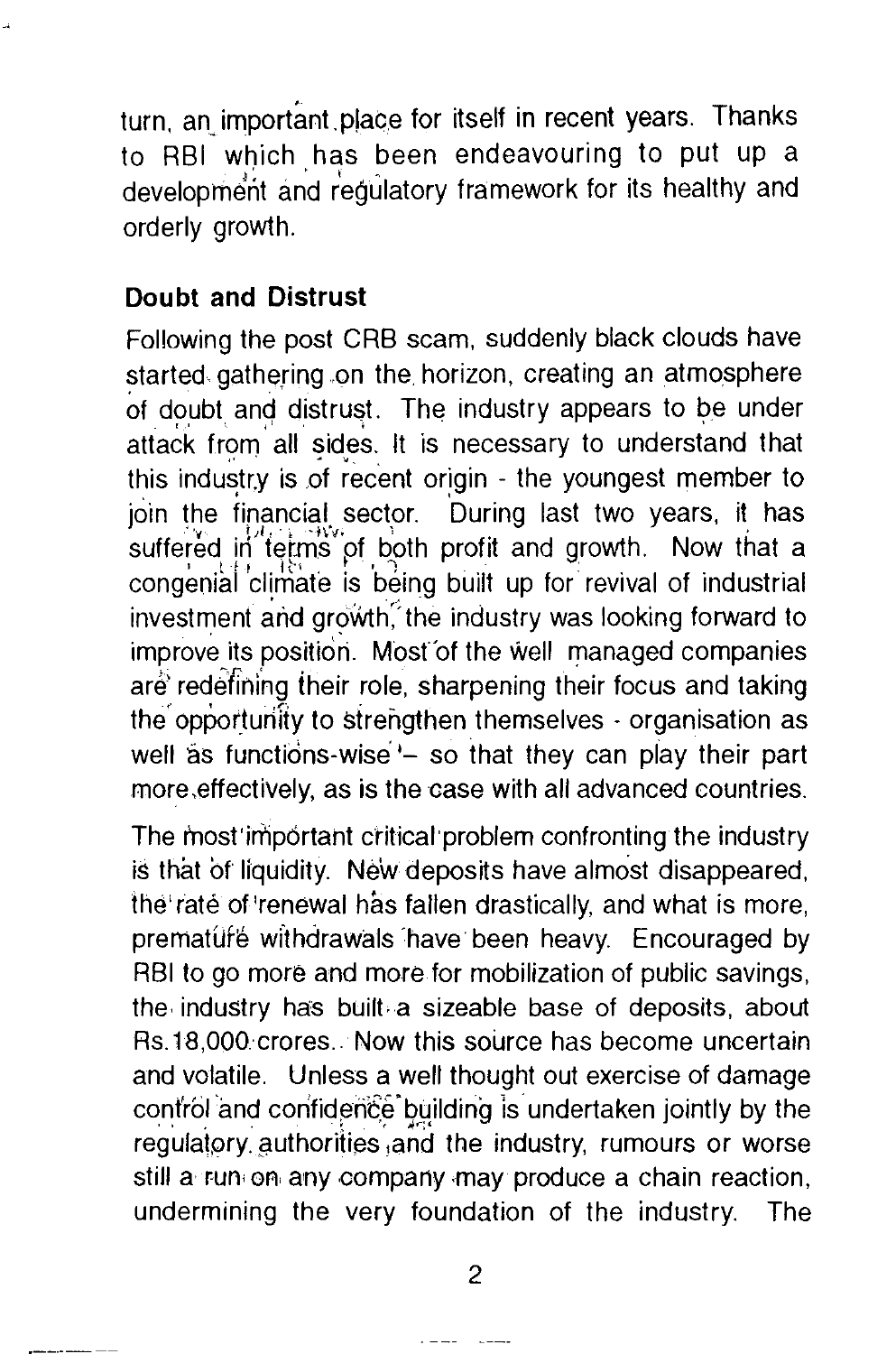turn, an important place for itself in recent years. Thanks to RBI which has been endeavouring to put up a development and regulatory framework for its healthy and orderly growth.

### **Doubt and Distrust**

Following the post CRB scam, suddenly black clouds have started gathering on the horizon, creating an atmosphere of doubt and distrust. The industry appears to be under attack from all sides. It is necessary to understand that this industr.y is of recent origin - the youngest member to join the financial sector. During last two years, it has  $\frac{1}{2}$  in the implicit sector. During last two years, it has congenial climate is being built up for revival of industrial investment and growth: the industry was looking forward to improve its position. Most of the well managed companies are redefining their role, sharpening their focus and taking the opportunity to strengthen themselves  $\cdot$  organisation as well as functions-wise'- so that they can play their part more,effectively, as is the case with all advanced countries.

The most important critical problem confronting the industry is that of liquidity. New deposits have almost disappeared, the' rate of 'renewal has fallen drastically, and what is more, premature withdrawals have been heavy. Encouraged by RBI to go more and more for mobilization of public savings, the industry has built a sizeable base of deposits, about Rs.18,000·crores .. Now this source has become uncertain and volatile. Unless a well thought out exercise of damage control and confidence building is undertaken jointly by the regulatory authorities and the industry, rumours or worse still a run on any company may produce a chain reaction, undermining the very foundation of the industry. The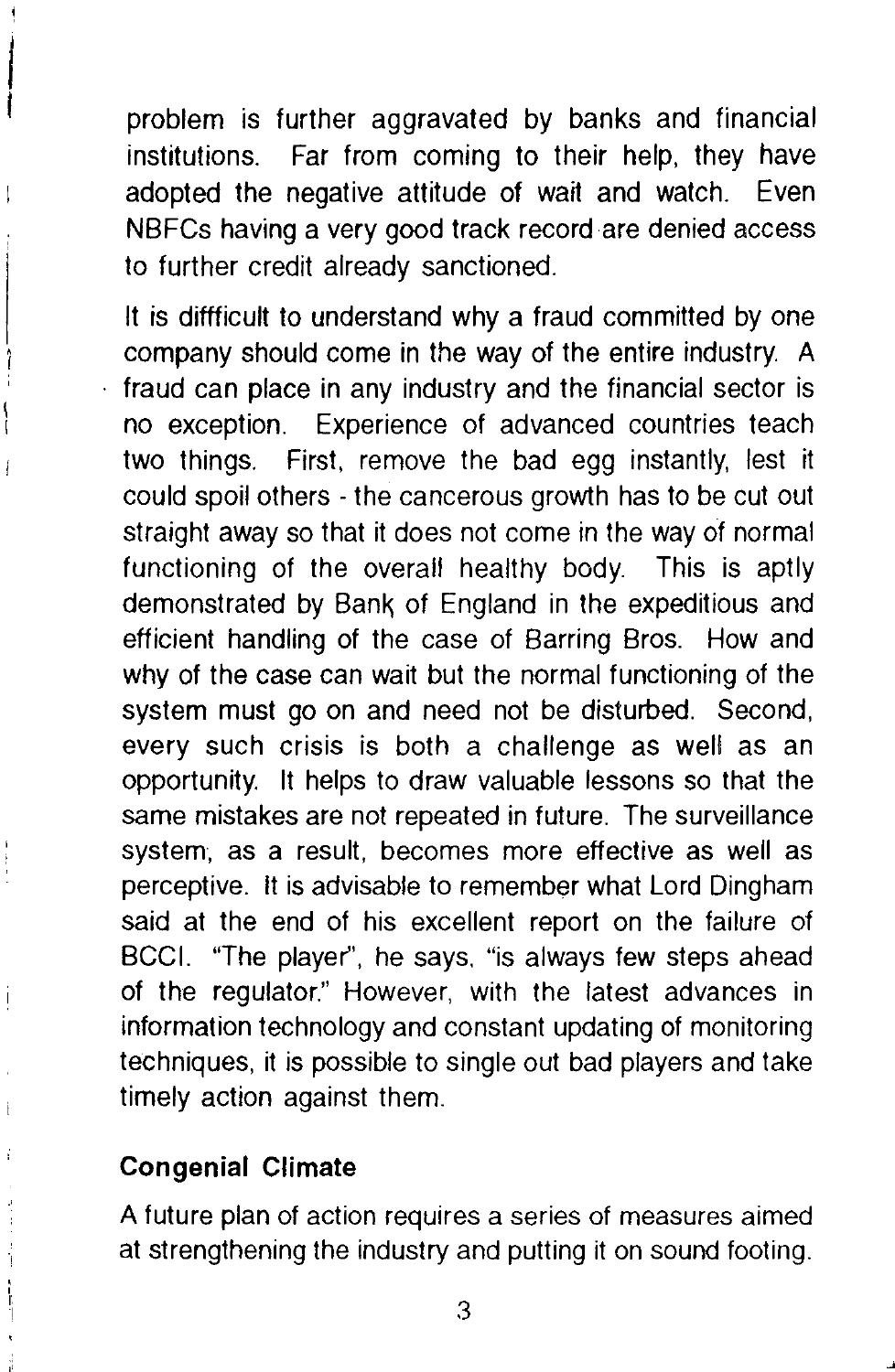problem is further aggravated by banks and financial institutions. Far from coming to their help, they have adopted the negative attitude of wait and watch. Even NBFCs having a very good track record are denied access to further credit already sanctioned.

It is diffficult to understand why a fraud committed by one company should come in the way of the entire industry. A fraud can place in any industry and the financial sector is no exception. Experience of advanced countries teach two things. First, remove the bad egg instantly, lest it could spoil others - the cancerous growth has to be cut out straight away so that it does not come in the way of normal functioning of the overall healthy body. This is aptly demonstrated by Bank of England in the expeditious and efficient handling of the case of Barring Bros. How and why of the case can wait but the normal functioning of the system must go on and need not be disturbed. Second, every such crisis is both a challenge as well as an opportunity. It helps to draw valuable lessons so that the same mistakes are not repeated in future. The surveillance system, as a result, becomes more effective as well as perceptive. It is advisable to remember what Lord Dingham said at the end of his excellent report on the failure of BCCI. "The player", he says. "is always few steps ahead of the regulator." However, with the latest advances in information technology and constant updating of monitoring techniques, it is possible to single out bad players and take timely action against them.

### **Congenial Climate**

A future plan of action requires a series of measures aimed at strengthening the industry and putting it on sound footing.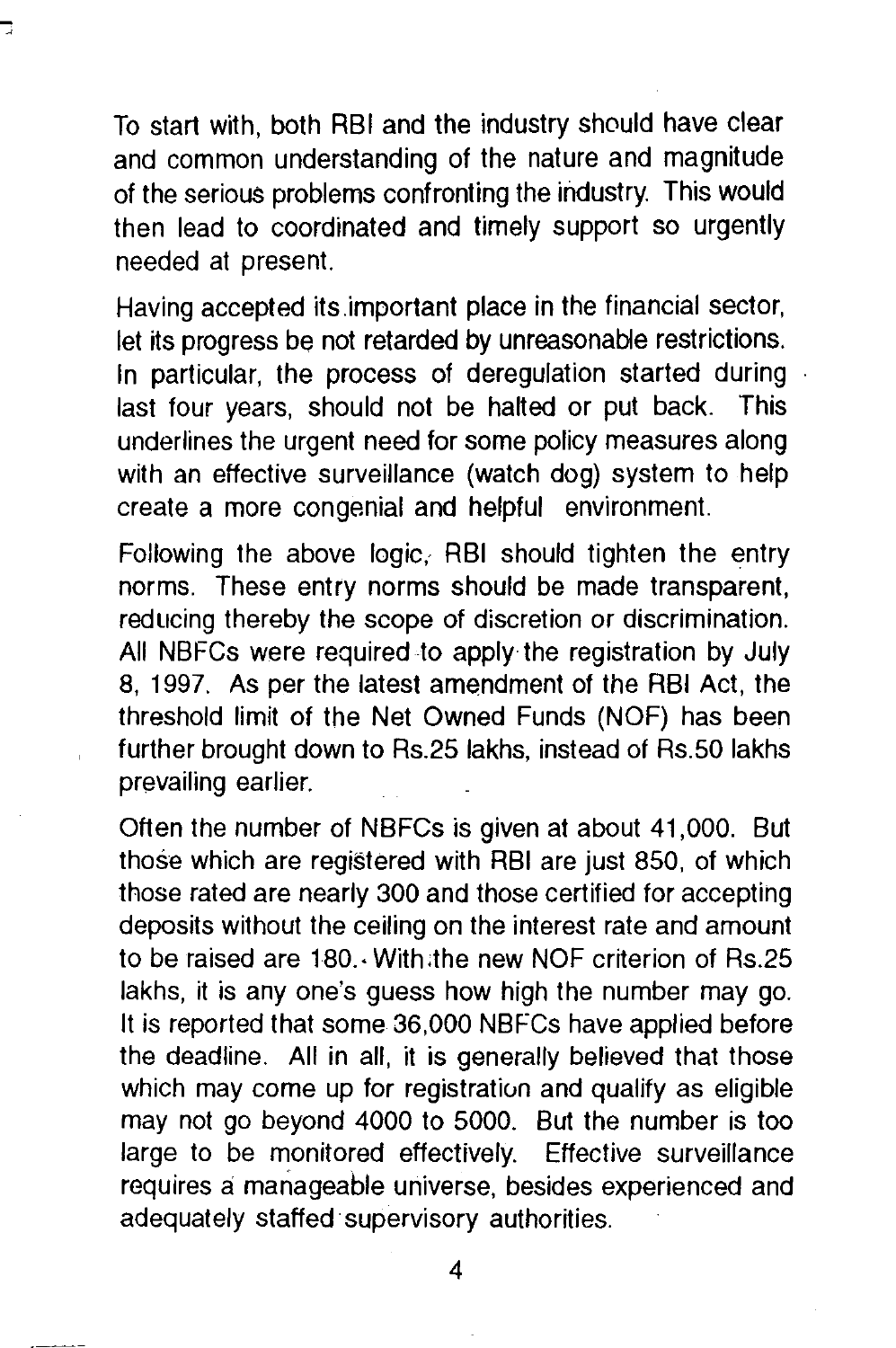To start with, both RBI and the industry should have clear and common understanding of the nature and magnitude of the serious problems confronting the industry. This would then lead to coordinated and timely support so urgently needed at present.

Having accepted its.important place in the financial sector, let its progress be not retarded by unreasonable restrictions. In particular, the process of deregulation started during last four years, should not be halted or put back. This underlines the urgent need for some policy measures along with an effective surveillance (watch dog) system to help create a more congenial and helpful environment.

Following the above logic, RBI should tighten the entry norms. These entry norms should be made transparent, reducing thereby the scope of discretion or discrimination. All NBFCs were required to apply the registration by July 8, 1997. As per the latest amendment of the RBI Act, the threshold limit of the Net Owned Funds (NOF) has been further brought down to Rs.25 lakhs, instead of Rs.50 lakhs prevailing earlier.

Often the number of NBFCs is given at about 41,000. But those which are registered with RBI are just 850, of which those rated are nearly 300 and those certified for accepting deposits without the ceiling on the interest rate and amount to be raised are 180 .• With ;the new NOF criterion of Rs.25 lakhs, it is any one's guess how high the number may go. It is reported that some 36,000 NBFCs have applied before the deadline. All in all, it is generally believed that those which may come up for registration and qualify as eligible may not go beyond 4000 to 5000. But the number is too large to be monitored effectively. Effective surveillance requires a manageable universe, besides experienced and adequately staffed· supervisory authorities.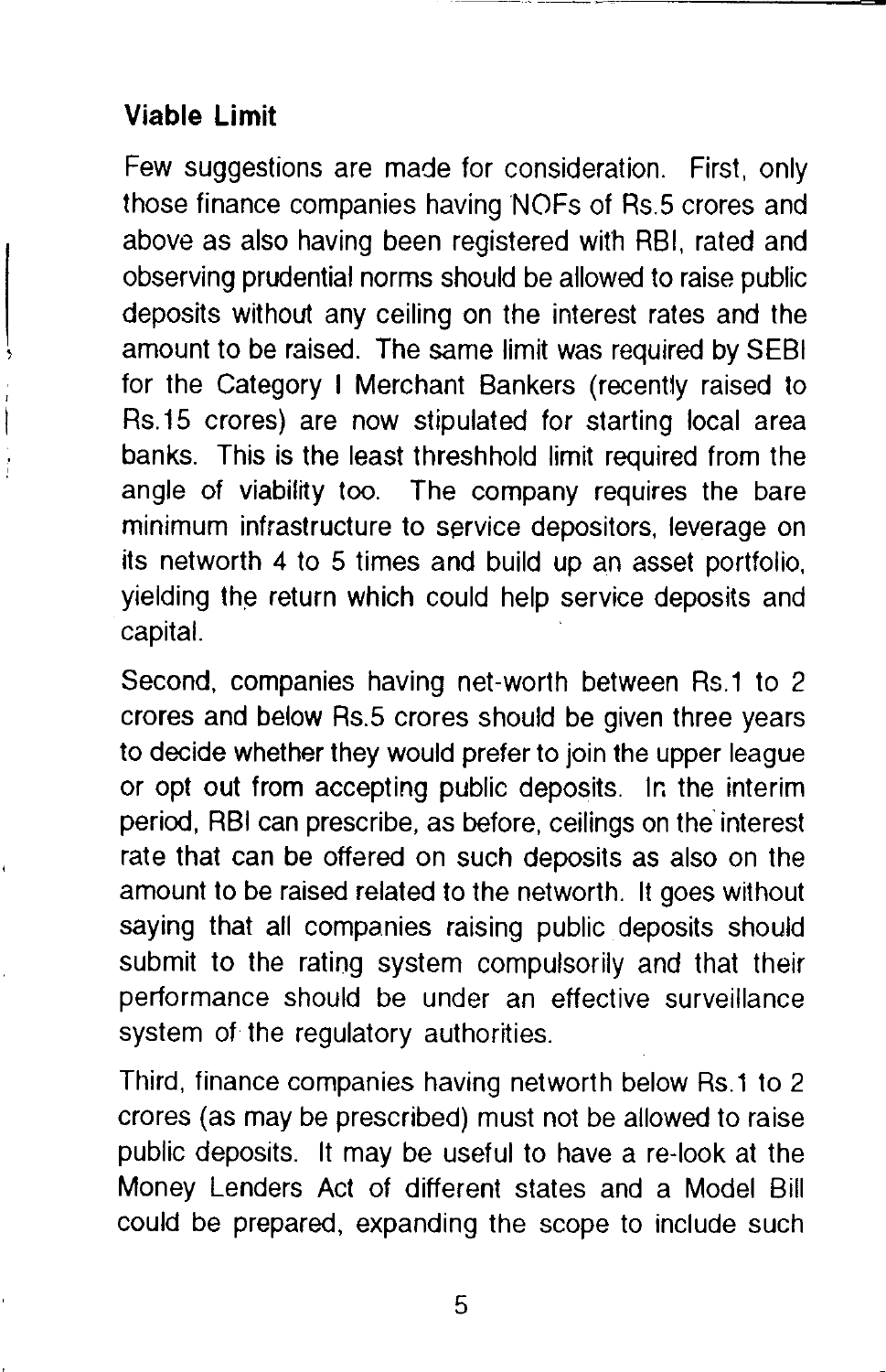## **Viable Limit**

Few suggestions are made for consideration. First, only those finance companies having NOFs of Rs.S crores and above as also having been registered with RBI, rated and observing prudential norms should be allowed to raise public deposits without any ceiling on the interest rates and the amount to be raised. The same limit was required by SEBI for the Category I Merchant Bankers (recently raised to Rs.15 crores) are now stipulated for starting local area banks. This is the least threshhold limit required from the angle of viability too. The company requires the bare minimum infrastructure to service depositors, leverage on its networth 4 to 5 times and build up an asset portfolio, yielding the return which could help service deposits and capital.

Second, companies having net-worth between Rs.1 to 2 crores and below Rs.5 crores should be given three years to decide whether they would prefer to join the upper league or opt out from accepting public deposits. lr. the interim period, RBI can prescribe, as before, ceilings on the interest rate that can be offered on such deposits as also on the amount to be raised related to the networth. It goes without saying that all companies raising public deposits should submit to the rating system compulsorily and that their performance should be under an effective surveillance system of the regulatory authorities.

Third, finance companies having networth below Rs.1 to 2 crores (as may be prescribed) must not be allowed to raise public deposits. It may be useful to have a re-look at the Money Lenders Act of different states and a Model Bill could be prepared, expanding the scope to include such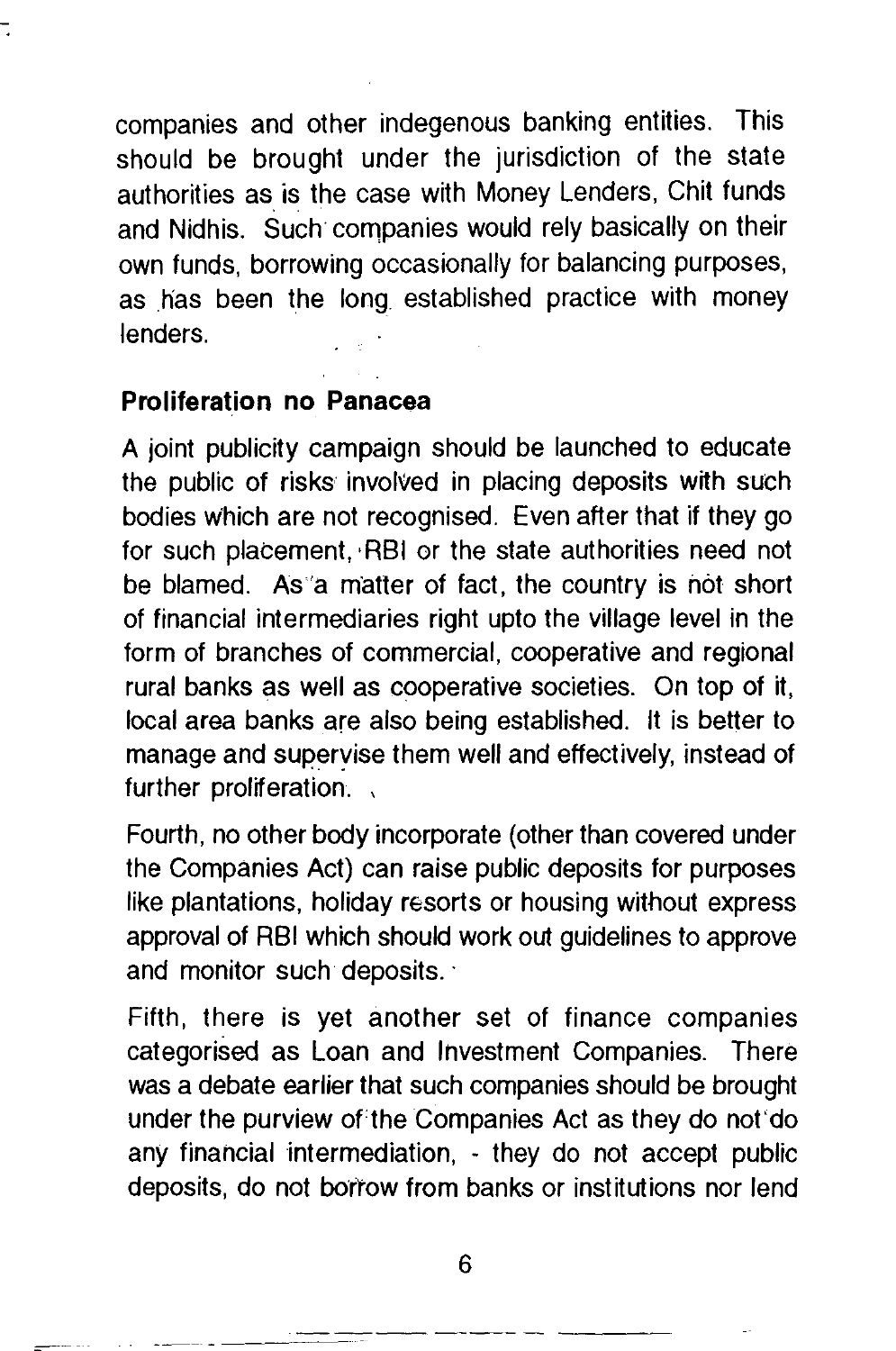companies and other indegenous banking entities. This should be brought under the jurisdiction of the state authorities as is the case with Money Lenders, Chit funds and Nidhis. Such companies would rely basically on their own funds, borrowing occasionally for balancing purposes, as has been the long established practice with money lenders.

#### **Proliferation no Panacea**

A joint publicity campaign should be launched to educate the public of risks involved in placing deposits with such bodies Which are not recognised. Even after that if they go for such placement, ·RBI or the state authorities need not be blamed. As·'a matter of fact, the country is not short of financial intermediaries right upto the village level in the form of branches of commercial, cooperative and regional rural banks as well as cooperative societies. On top of it, local area banks are also being established. It is better to manage and superyise them well and effectively, instead of further proliferation.

Fourth, no other body incorporate (other than covered under the Companies Act) can raise public deposits for purposes like plantations, holiday resorts or housing without express approval of RBI which should work out guidelines to approve and monitor such deposits.

Fifth, there is yet another set of finance companies categorised as Loan and Investment Companies. There was a debate earlier that such companies should be brought under the purview of the Companies Act as they do not do any financial intermediation, - they do not accept public deposits, do not bortow from banks or institutions nor lend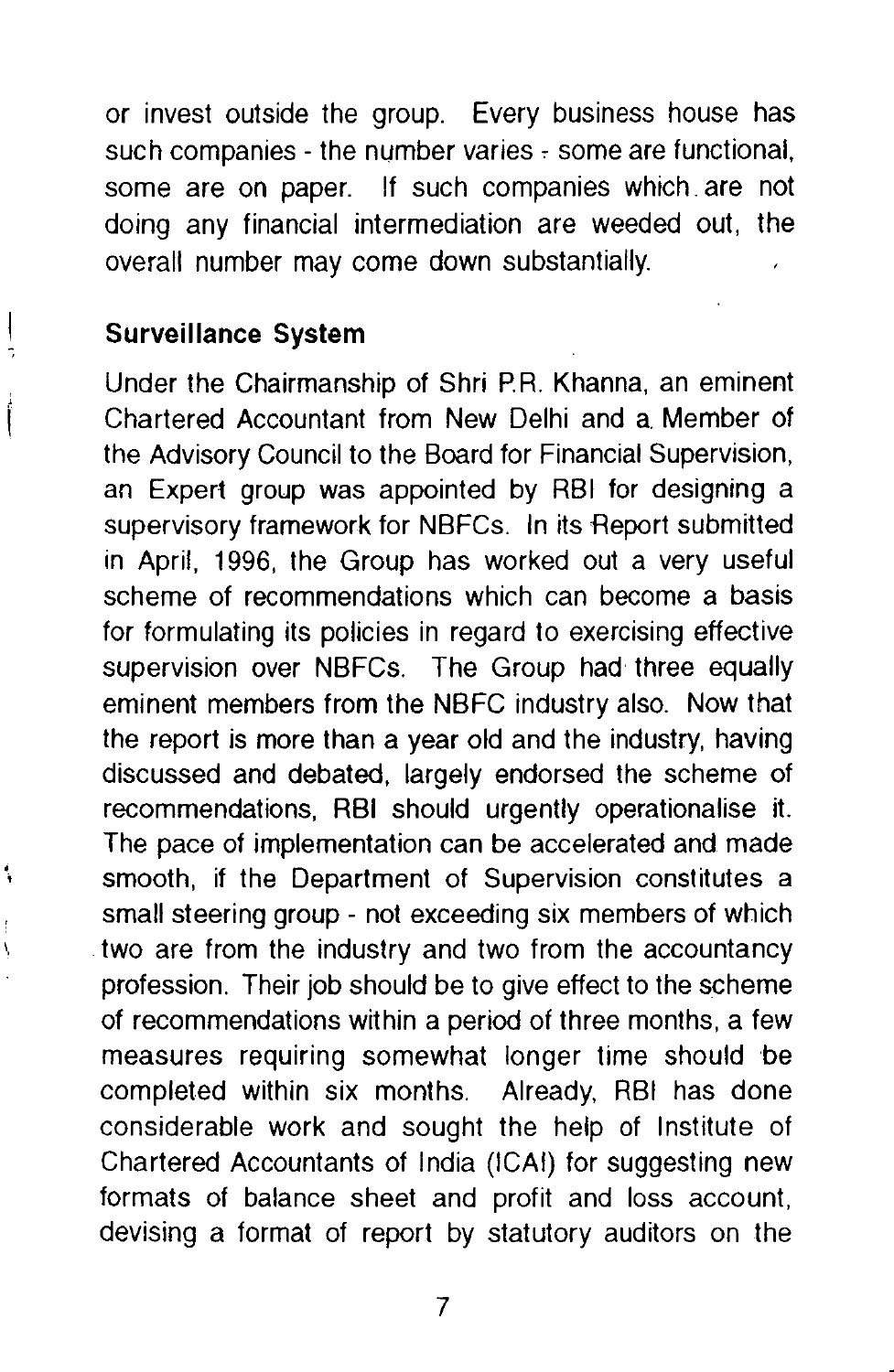or invest outside the group. Every business house has such companies - the number varies - some are functional, some are on paper. If such companies which. are not doing any financial intermediation are weeded out, the overall number may come down substantially.

#### **Surveillance System**

Under the Chairmanship of Shri P.R. Khanna, an eminent Chartered Accountant from New Delhi and a. Member of the Advisory Council to the Board for Financial Supervision, an Expert group was appointed by RBI for designing a supervisory framework for NBFCs. In its Heport submitted in April, 1996, the Group has worked out a very useful scheme of recommendations which can become a basis for formulating its policies in regard to exercising effective supervision over NBFCs. The Group had three equally eminent members from the NBFC industry also. Now that the report is more than a year old and the industry, having discussed and debated, largely endorsed the scheme of recommendations, RBI should urgently operationalise it. The pace of implementation can be accelerated and made smooth, if the Department of Supervision constitutes a small steering group- not exceeding six members of which two are from the industry and two from the accountancy profession. Their job should be to give effect to the scheme of recommendations within a period of three months, a few measures requiring somewhat longer time should be completed within six months. Already, RBI has done considerable work and sought the help of Institute of Chartered Accountants of India (ICAI) for suggesting new formats of balance sheet and profit and loss account, devising a format of report by statutory auditors on the

7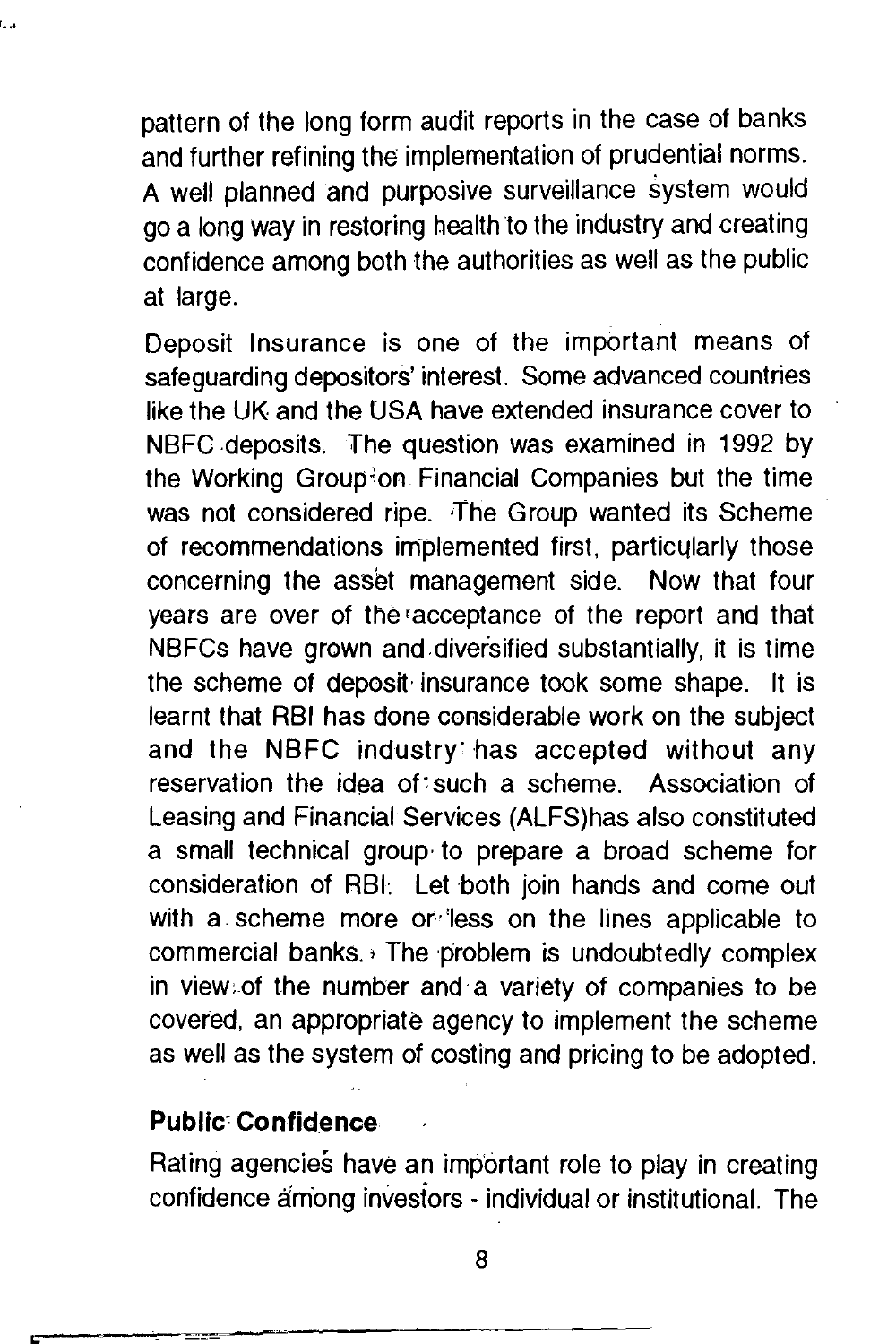pattern of the long form audit reports in the case of banks and further refining the implementation of prudential norms. A well planned and purposive surveillance system would go a long way in restoring health to the industry and creating confidence among both the authorities as well as the public at large.

Deposit Insurance is one of the important means of safeguarding depositors' interest. Some advanced countries like the UK and the USA have extended insurance cover to NBFC .deposits. The question was examined in 1992 by the Working Group"on Financial Companies but the time was not considered ripe. The Group wanted its Scheme of recommendations implemented first, particularly those concerning the asset management side. Now that four years are over of the racceptance of the report and that NBFCs have grown and diversified substantially, it is time the scheme of deposit· insurance took some shape. It is learnt that RBI has done considerable work on the subject and the NBFC industry has accepted without any reservation the idea of:such a scheme. Association of Leasing and Financial Services (ALFS)has also constituted a small technical group· to prepare a broad scheme for consideration of RBI: Let both join hands and come out with a scheme more or less on the lines applicable to commercial banks.  $\cdot$  The problem is undoubtedly complex in view:of the number and·a variety of companies to be covered, an appropriate agency to implement the scheme as well as the system of costing and pricing to be adopted.

#### **Public Confidence**

Rating agencies have an important role to play in creating confidence among investors - individual or institutional. The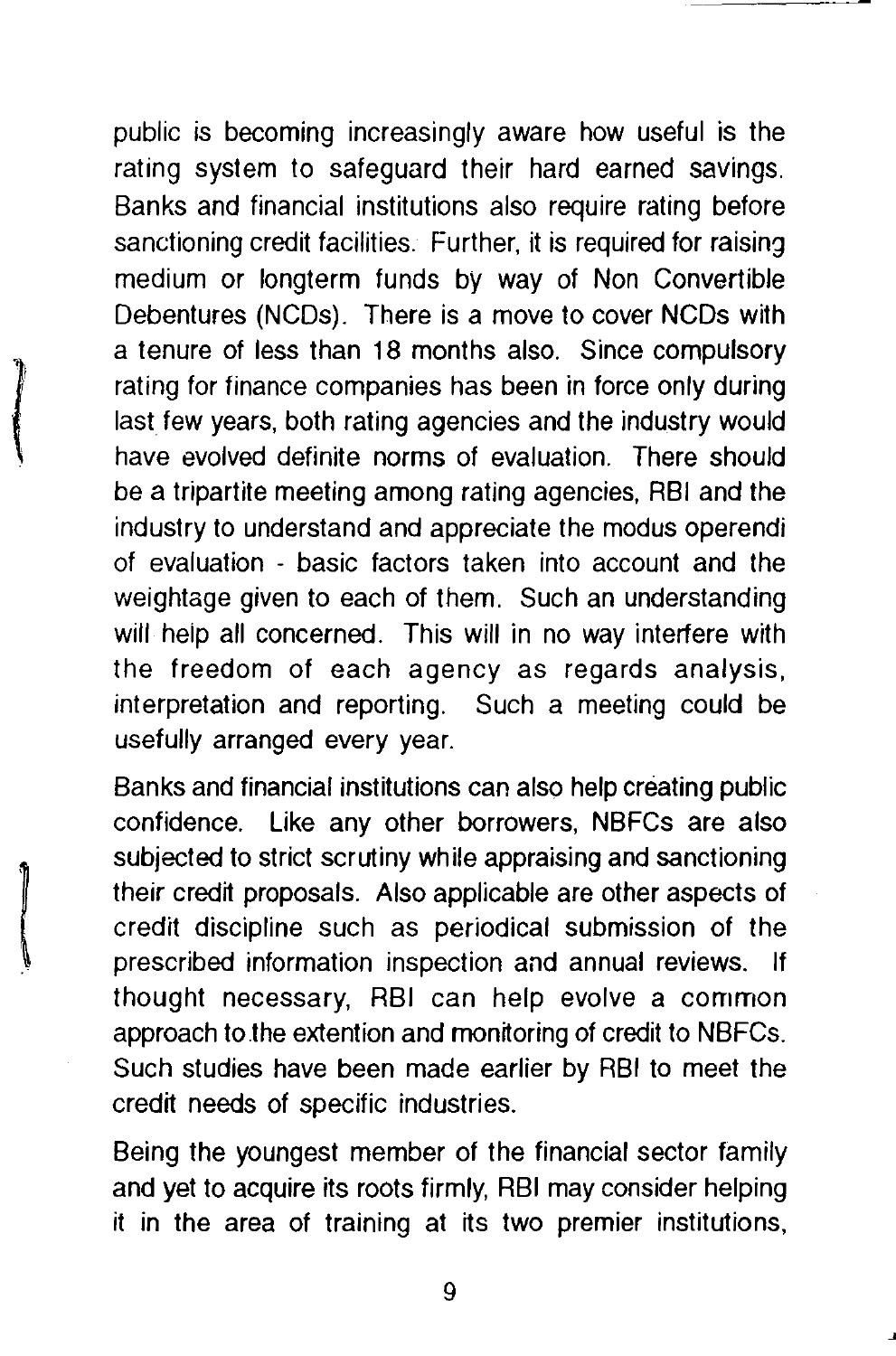public is becoming increasingly aware how useful is the rating system to safeguard their hard earned savings. Banks and financial institutions also require rating before sanctioning credit facilities. Further, it is required for raising medium or longterm funds by way of Non Convertible Debentures (NCDs). There is a move to cover NCDs with a tenure of less than 18 months also. Since compulsory rating for finance companies has been in force only during last few years, both rating agencies and the industry would have evolved definite norms of evaluation. There should be a tripartite meeting among rating agencies, RBI and the industry to understand and appreciate the modus operendi of evaluation - basic factors taken into account and the weightage given to each of them. Such an understanding will help all concerned. This will in no way interfere with the freedom of each agency as regards analysis, interpretation and reporting. Such a meeting could be usefully arranged every year.

Banks and financial institutions can also help creating public confidence. Like any other borrowers, NBFCs are also subjected to strict scrutiny while appraising and sanctioning their credit proposals. Also applicable are other aspects of credit discipline such as periodical submission of the prescribed information inspection and annual reviews. If thought necessary, RBI can help evolve a common approach to.the extention and monitoring of credit to NBFCs. Such studies have been made earlier by RBI to meet the credit needs of specific industries.

Being the youngest member of the financial sector family and yet to acquire its roots firmly, RBI may consider helping it in the area of training at its two premier institutions,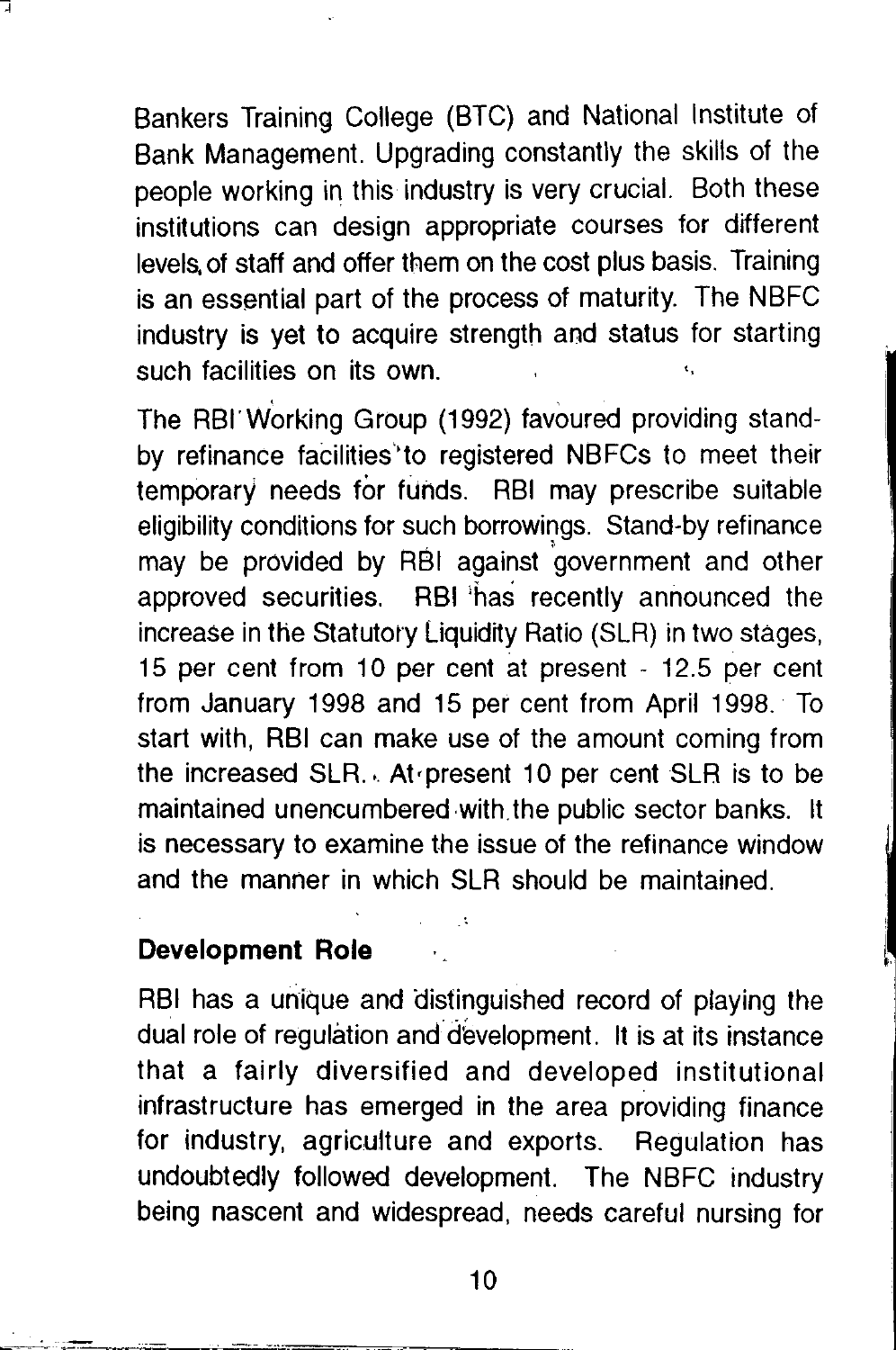Bankers Training College (BTC) and National Institute of Bank Management. Upgrading constantly the skills of the people working in this industry is very crucial. Both these institutions can design appropriate courses for different levels. of staff and offer them on the cost plus basis. Training is an essential part of the process of maturity. The NBFC industry is yet to acquire strength and status for starting such facilities on its own.

The RBI" Working Group (1992) favoured providing standby refinance facilities'to registered NBFCs to meet their temporary needs for funds. RBI may prescribe suitable eligibility conditions for such borrowings. Stand-by refinance may be provided by RBI against 'government and other approved securities. RBI 'has recently announced the increase in the Statutory Liquidity Ratio (SLR) in two stages, 15 per cent from 10 per cent at present - 12.5 per cent from January 1998 and 15 per cent from April 1998. To start with, RBI can make use of the amount coming from the increased SLR.. At present 10 per cent SLR is to be maintained unencumbered with the public sector banks. It is necessary to examine the issue of the refinance window and the manner in which SLR should be maintained.

#### **Development Role**

RBI has a unique and distinguished record of playing the dual role of regulation and development. It is at its instance that a fairly diversified and developed institutional infrastructure has emerged in the area providing finance for industry, agriculture and exports. Regulation has undoubtedly followed development. The NBFC industry being nascent and widespread, needs careful nursing for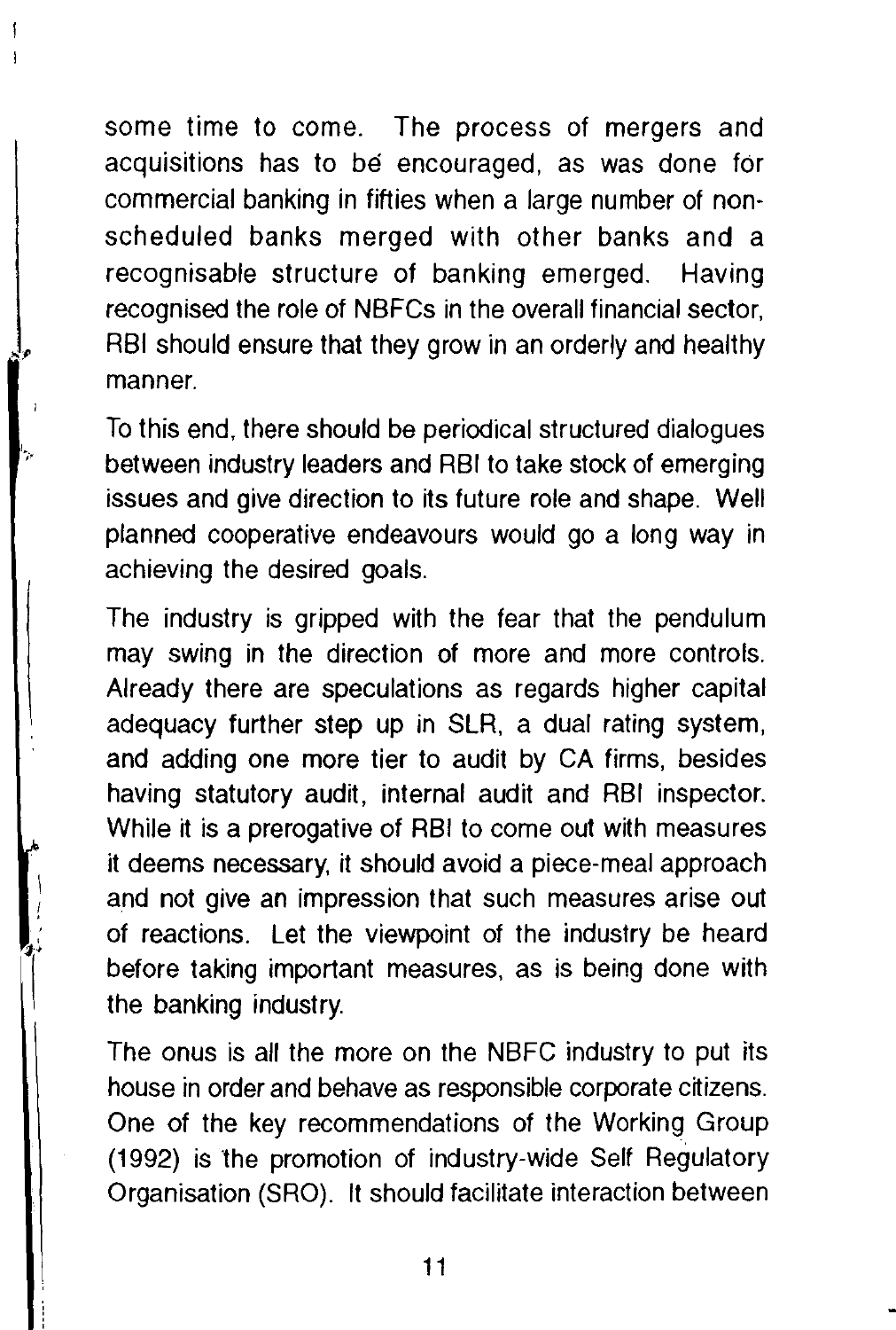some time to come. The process of mergers and acquisitions has to be encouraged, as was done for commercial banking in fifties when a large number of nonscheduled banks merged with other banks and a recognisable structure of banking emerged. Having recognised the role of NBFCs in the overall financial sector, RBI should ensure that they grow in an orderly and healthy manner.

To this end, there should be periodical structured dialogues between industry leaders and RBI to take stock of emerging issues and give direction to its future role and shape. Well planned cooperative endeavours would go a long way in achieving the desired goals.

The industry is gripped with the fear that the pendulum may swing in the direction of more and more controls. Already there are speculations as regards higher capital adequacy further step up in SLR, a dual rating system, and adding one more tier to audit by CA firms, besides having statutory audit, internal audit and RBI inspector. While it is a prerogative of RBI to come out with measures it deems necessary, it should avoid a piece-meal approach and not give an impression that such measures arise out of reactions. Let the viewpoint of the industry be heard before taking important measures, as is being done with the banking industry.

The onus is all the more on the NBFC industry to put its house in order and behave as responsible corporate citizens. One of the key recommendations of the Working Group (1992) is the promotion of industry-wide Self Regulatory Organisation (SRO). It should facilitate interaction between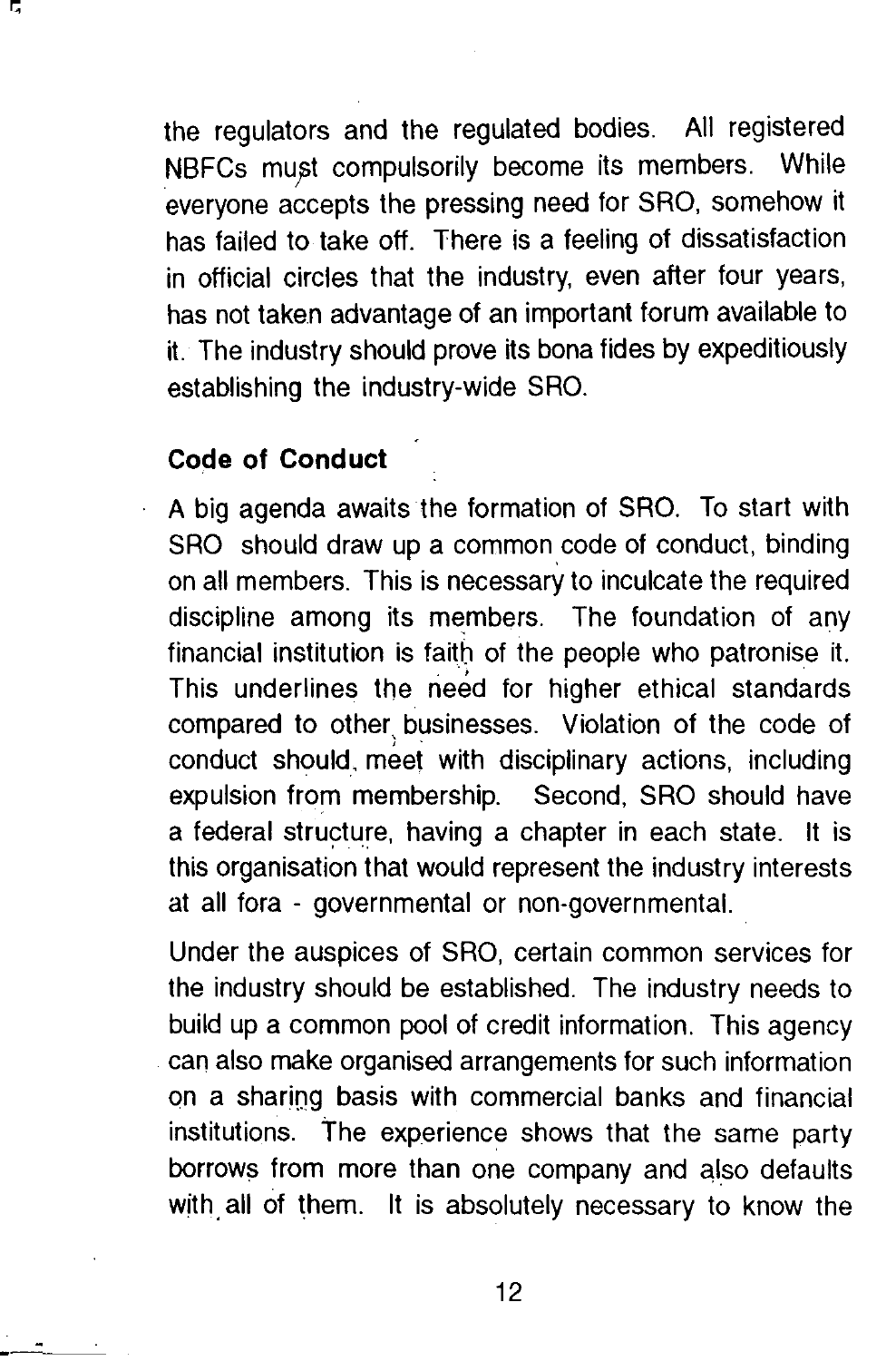the regulators and the regulated bodies. All registered NBFCs must compulsorily become its members. While everyone accepts the pressing need for SRO, somehow it has failed to take off. There is a feeling of dissatisfaction in official circles that the industry, even after four years, has not taken advantage of an important forum available to it. The industry should prove its bona fides by expeditiously establishing the industry-wide SRO.

#### **Code of Conduct**

A big agenda awaits the formation of SRO. To start with SRO should draw up a common code of conduct, binding on all members. This is necessary to inculcate the required discipline among its members. The foundation of any financial institution is faith of the people who patronise it. This underlines the need for higher ethical standards compared to other, businesses. Violation of the code of conduct should. meet with disciplinary actions, including expulsion from membership. Second, SRO should have a federal structure, having a chapter in each state. It is this organisation that would represent the industry interests at all fora - governmental or non-governmental.

Under the auspices of SRO, certain common services for the industry should be established. The industry needs to build up a common pool of credit information. This agency can also make organised arrangements for such information on a sharing basis with commercial banks and financial institutions. The experience shows that the same party borrows from more than one company and also defaults with all of them. It is absolutely necessary to know the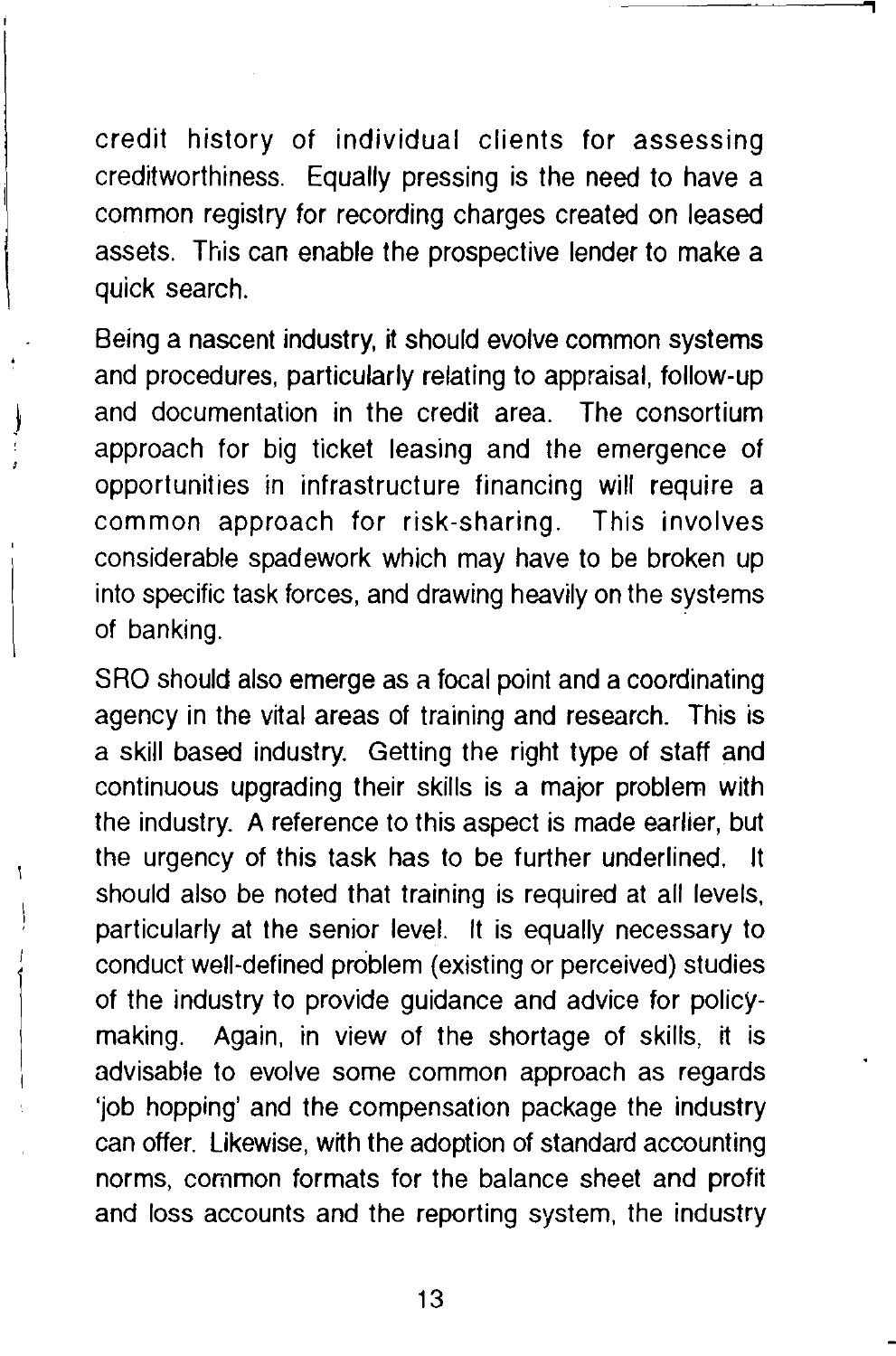credit history of individual clients for assessing creditworthiness. Equally pressing is the need to have a common registry for recording charges created on leased assets. This can enable the prospective lender to make a quick search.

Being a nascent industry, it should evolve common systems and procedures, particularly relating to appraisal, follow-up and documentation in the credit area. The consortium approach for big ticket leasing and the emergence of opportunities in infrastructure financing will require a common approach for risk-sharing. This involves considerable spadework which may have to be broken up into specific task forces, and drawing heavily on the systems of banking.

SRO should also emerge as a focal point and a coordinating agency in the vital areas of training and research. This is a skill based industry. Getting the right type of staff and continuous upgrading their skills is a major problem with the industry. A reference to this aspect is made earlier, but the urgency of this task has to be further underlined. It should also be noted that training is required at all levels, particularly at the senior level. It is equally necessary to conduct well-defined problem (existing or perceived) studies of the industry to provide guidance and advice for policymaking. Again, in view of the shortage of skills, it is advisable to evolve some common approach as regards 'job hopping' and the compensation package the industry can offer. Likewise, with the adoption of standard accounting norms, common formats for the balance sheet and profit and loss accounts and the reporting system, the industry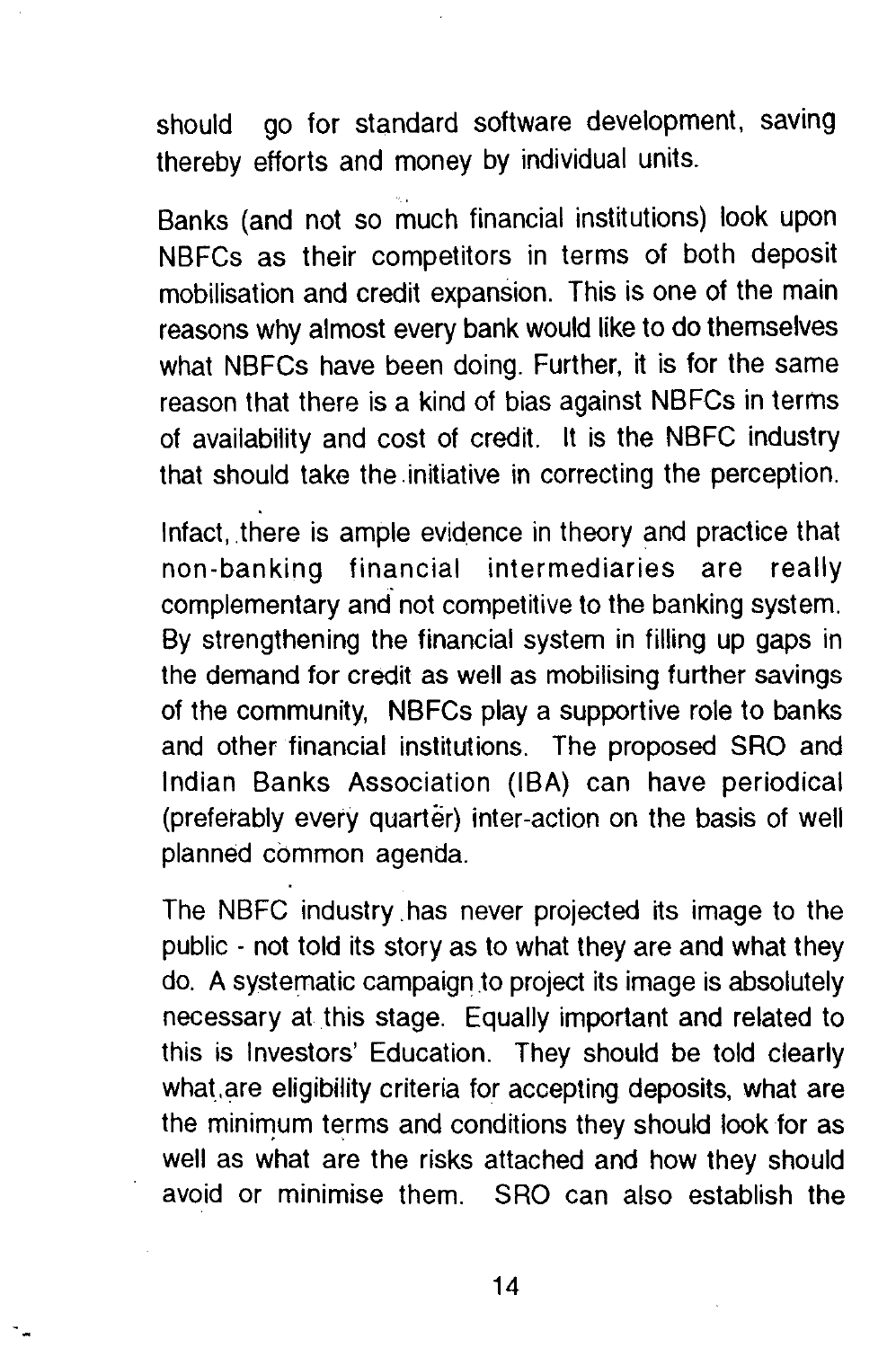should go for standard software development. saving thereby efforts and money by individual units.

Banks (and not so much financial institutions) look upon NBFCs as their competitors in terms of both deposit mobilisation and credit expansion. This is one of the main reasons why almost every bank would like to do themselves what NBFCs have been doing. Further, it is for the same reason that there is a kind of bias against NBFCs in terms of availability and cost of credit. It is the NBFC industry that should take the .initiative in correcting the perception.

Infact, there is ample evidence in theory and practice that non-banking financial intermediaries are really complementary and not competitive to the banking system. By strengthening the financial system in filling up gaps in the demand for credit as well as mobilising further savings of the community, NBFCs play a supportive role to banks and other financial institutions. The proposed SRO and Indian Banks Association (IBA) can have periodical (preferably every quarter) inter-action on the basis of well planned common agenda.

The NBFC industry . has never projected its image to the public - not told its story as to what they are and what they do. A systematic campaign to project its image is absolutely necessary at this stage. Equally important and related to this is Investors' Education. They should be told clearly what are eligibility criteria for accepting deposits, what are the minimum terms and conditions they should look for as well as what are the risks attached and how they should avoid or minimise them. SRO can also establish the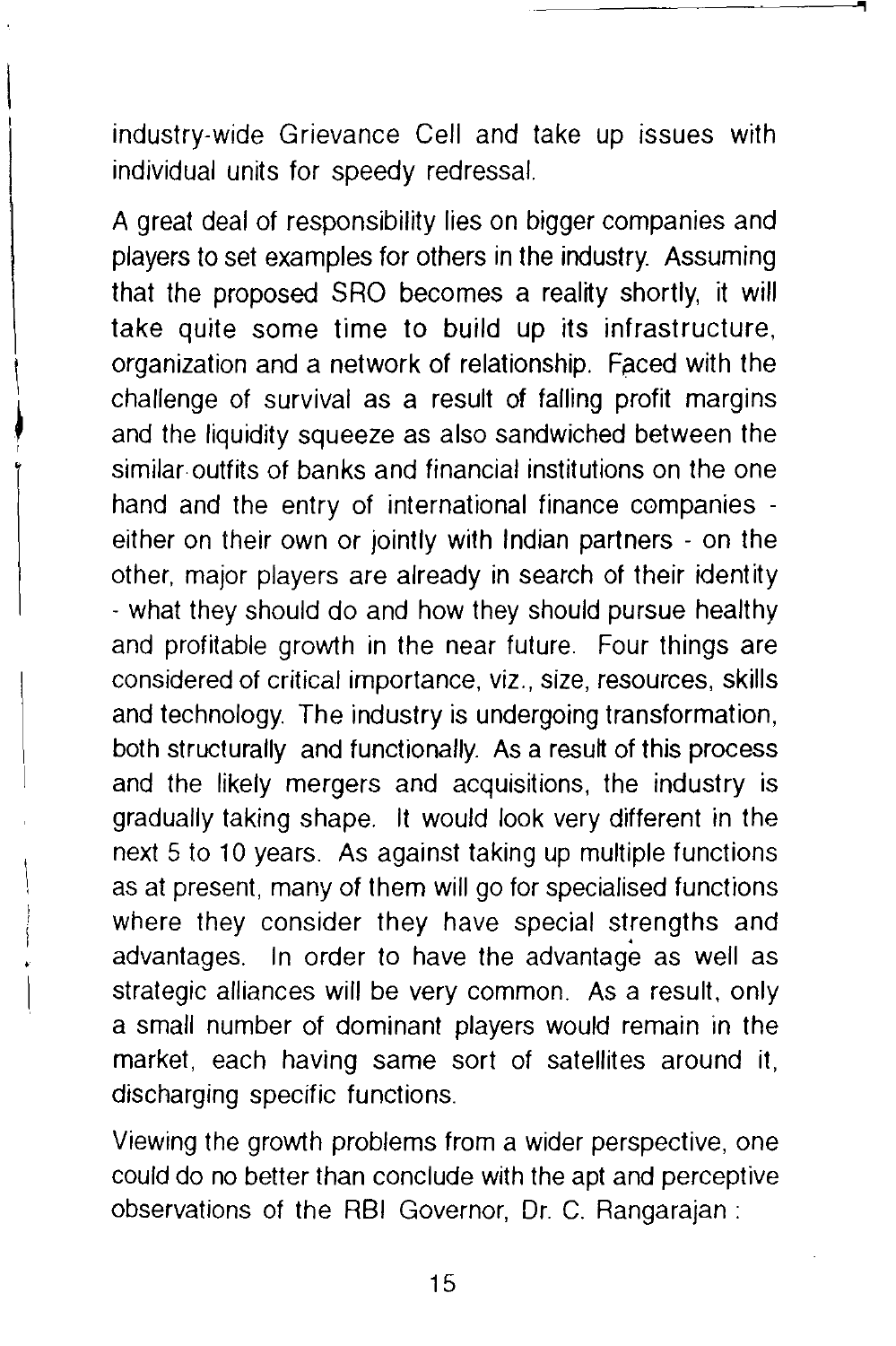industry-wide Grievance Cell and take up issues with individual units for speedy redressal.

A great deal of responsibility lies on bigger companies and players to set examples for others in the industry. Assuming that the proposed SRO becomes a reality shortly, it will take quite some time to build up its infrastructure, organization and a network of relationship. Faced with the challenge of survival as a result of falling profit margins and the liquidity squeeze as also sandwiched between the similar-outfits of banks and financial institutions on the one hand and the entry of international finance companies either on their own or jointly with Indian partners - on the other, major players are already in search of their identity - what they should do and how they should pursue healthy and profitable growth in the near future. Four things are considered of critical importance, viz., size, resources, skills and technology. The industry is undergoing transformation, both structurally and functionally. As a result of this process and the likely mergers and acquisitions, the industry is gradually taking shape. It would look very different in the next 5 to 10 years. As against taking up multiple functions as at present, many of them will go for specialised functions where they consider they have special strengths and advantages. In order to have the advantage as well as strategic alliances will be very common. As a result, only a small number of dominant players would remain in the market, each having same sort of satellites around it, discharging specific functions.

Viewing the growth problems from a wider perspective, one could do no better than conclude with the apt and perceptive observations of the RBI Governor, Dr. C. Rangarajan :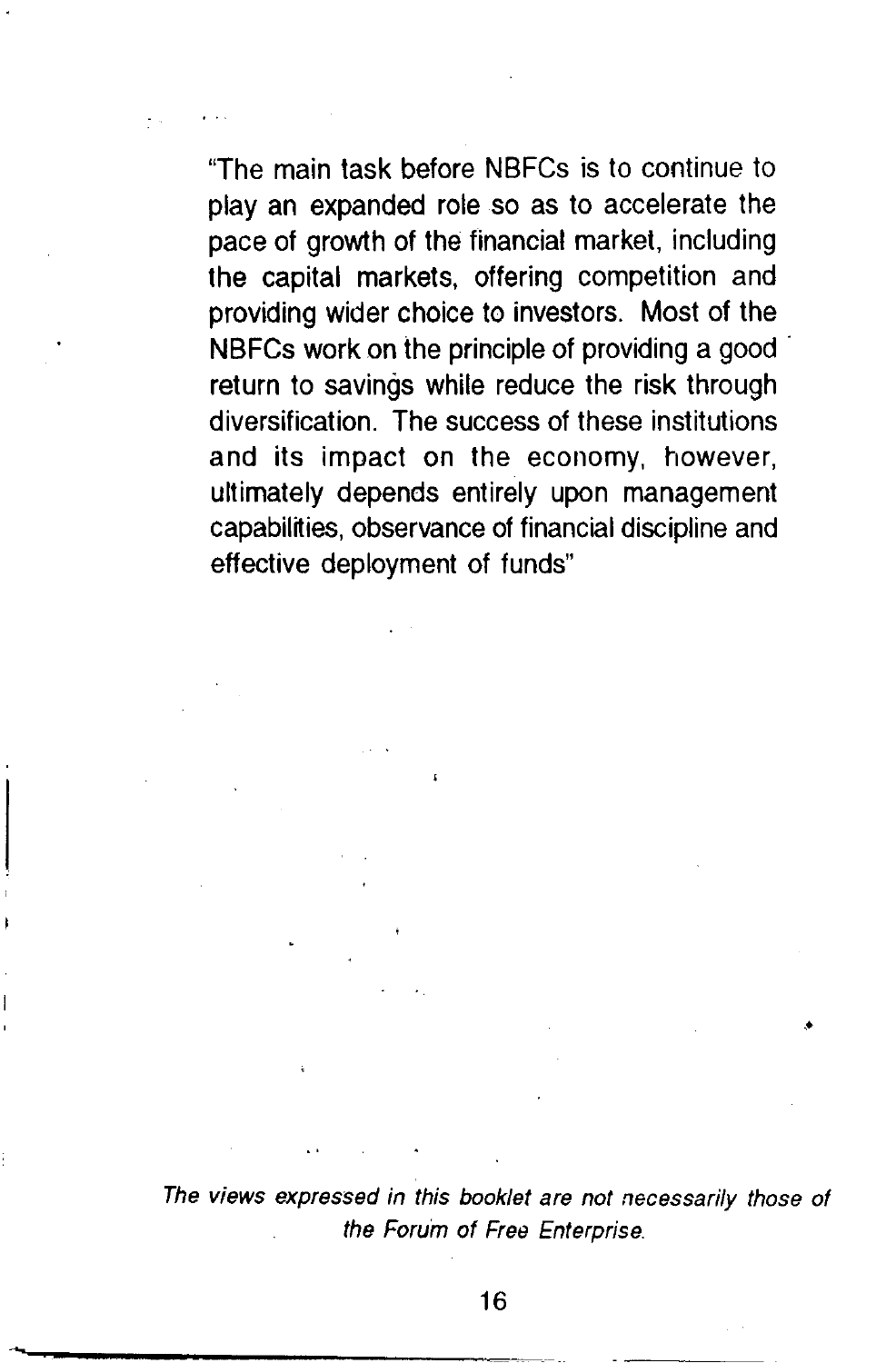"The main task before NBFCs is to continue to play an expanded role so as to accelerate the pace of growth of the financial market, including the capital markets, offering competition and providing wider choice to investors. Most of the NBFCs work on the principle of providing a good return to savings while reduce the risk through diversification. The success of these institutions and its impact on the economy, however, ultimately depends entirely upon management capabilities, observance of financial discipline and effective deployment of funds"

The views expressed in this booklet are not necessarily those of the Forum of Free Enterprise.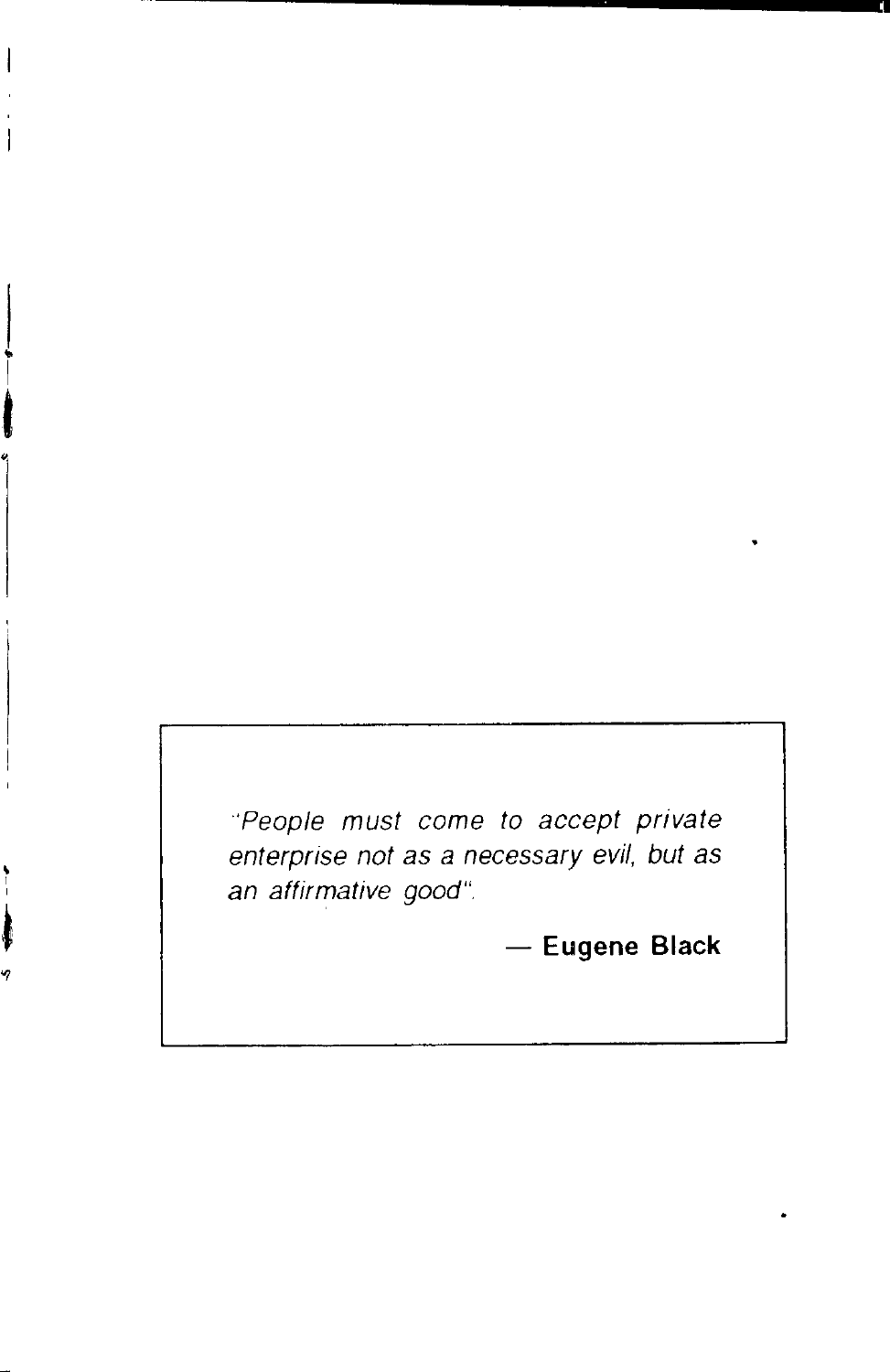'People must come to accept private enterprise not as a necessary evil, but as an affirmative good".

- **Eugene Black**